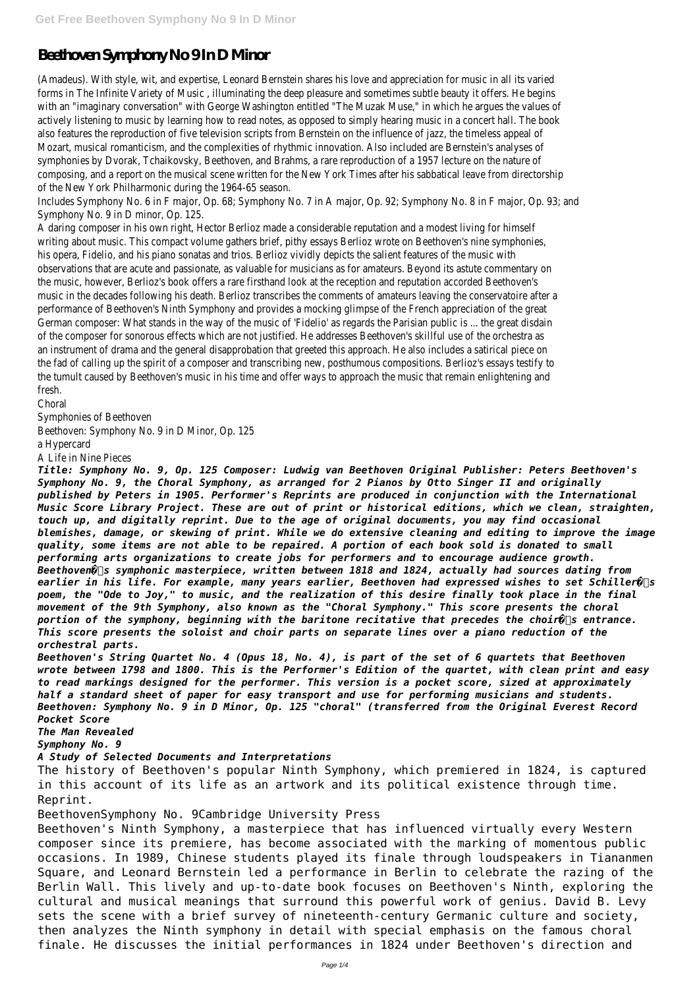## Beethoven Symphony No 9 In D Minor

(Amadeus). With style, wit, and expertise, Leonard Bernstein shares his love and appreciation for music in all its varied forms in The Infinite Variety of Music , illuminating the deep pleasure and sometimes subtle beauty it offers. He begins with an "imaginary conversation" with George Washington entitled "The Muzak Muse," in which he argues the values of actively listening to music by learning how to read notes, as opposed to simply hearing music in a concert hall. The book also features the reproduction of five television scripts from Bernstein on the influence of jazz, the timeless appeal of Mozart, musical romanticism, and the complexities of rhythmic innovation. Also included are Bernstein's analyses of symphonies by Dvorak, Tchaikovsky, Beethoven, and Brahms, a rare reproduction of a 1957 lecture on the nature of composing, and a report on the musical scene written for the New York Times after his sabbatical leave from directorship of the New York Philharmonic during the 1964-65 season.

Includes Symphony No. 6 in F major, Op. 68; Symphony No. 7 in A major, Op. 92; Symphony No. 8 in F major, Op. 93; and Symphony No. 9 in D minor, Op. 125.

A daring composer in his own right, Hector Berlioz made a considerable reputation and a modest living for himself writing about music. This compact volume gathers brief, pithy essays Berlioz wrote on Beethoven's nine symphonies, his opera, Fidelio, and his piano sonatas and trios. Berlioz vividly depicts the salient features of the music with observations that are acute and passionate, as valuable for musicians as for amateurs. Beyond its astute commentary on the music, however, Berlioz's book offers a rare firsthand look at the reception and reputation accorded Beethoven's music in the decades following his death. Berlioz transcribes the comments of amateurs leaving the conservatoire after a performance of Beethoven's Ninth Symphony and provides a mocking glimpse of the French appreciation of the great German composer: What stands in the way of the music of 'Fidelio' as regards the Parisian public is ... the great disdain of the composer for sonorous effects which are not justified. He addresses Beethoven's skillful use of the orchestra as an instrument of drama and the general disapprobation that greeted this approach. He also includes a satirical piece on the fad of calling up the spirit of a composer and transcribing new, posthumous compositions. Berlioz's essays testify to the tumult caused by Beethoven's music in his time and offer ways to approach the music that remain enlightening and fresh.

Choral

Symphonies of Beethoven

Beethoven: Symphony No. 9 in D Minor, Op. 125

a Hypercard

A Life in Nine Pieces

*Title: Symphony No. 9, Op. 125 Composer: Ludwig van Beethoven Original Publisher: Peters Beethoven's Symphony No. 9, the Choral Symphony, as arranged for 2 Pianos by Otto Singer II and originally published by Peters in 1905. Performer's Reprints are produced in conjunction with the International Music Score Library Project. These are out of print or historical editions, which we clean, straighten, touch up, and digitally reprint. Due to the age of original documents, you may find occasional blemishes, damage, or skewing of print. While we do extensive cleaning and editing to improve the image quality, some items are not able to be repaired. A portion of each book sold is donated to small performing arts organizations to create jobs for performers and to encourage audience growth. Beethoven�۪s symphonic masterpiece, written between 1818 and 1824, actually had sources dating from* earlier in his life. For example, many years earlier, Beethoven had expressed wishes to set Schiller $\hat{Q}$  s *poem, the "Ode to Joy," to music, and the realization of this desire finally took place in the final movement of the 9th Symphony, also known as the "Choral Symphony." This score presents the choral*  $portion$  of the symphony, beginning with the baritone recitative that precedes the choir $\hat{Q}$ s entrance. *This score presents the soloist and choir parts on separate lines over a piano reduction of the orchestral parts.*

*Beethoven's String Quartet No. 4 (Opus 18, No. 4), is part of the set of 6 quartets that Beethoven wrote between 1798 and 1800. This is the Performer's Edition of the quartet, with clean print and easy to read markings designed for the performer. This version is a pocket score, sized at approximately half a standard sheet of paper for easy transport and use for performing musicians and students. Beethoven: Symphony No. 9 in D Minor, Op. 125 "choral" (transferred from the Original Everest Record Pocket Score The Man Revealed*

*Symphony No. 9 A Study of Selected Documents and Interpretations*

The history of Beethoven's popular Ninth Symphony, which premiered in 1824, is captured in this account of its life as an artwork and its political existence through time. Reprint.

BeethovenSymphony No. 9Cambridge University Press

Beethoven's Ninth Symphony, a masterpiece that has influenced virtually every Western composer since its premiere, has become associated with the marking of momentous public occasions. In 1989, Chinese students played its finale through loudspeakers in Tiananmen Square, and Leonard Bernstein led a performance in Berlin to celebrate the razing of the Berlin Wall. This lively and up-to-date book focuses on Beethoven's Ninth, exploring the cultural and musical meanings that surround this powerful work of genius. David B. Levy sets the scene with a brief survey of nineteenth-century Germanic culture and society, then analyzes the Ninth symphony in detail with special emphasis on the famous choral finale. He discusses the initial performances in 1824 under Beethoven's direction and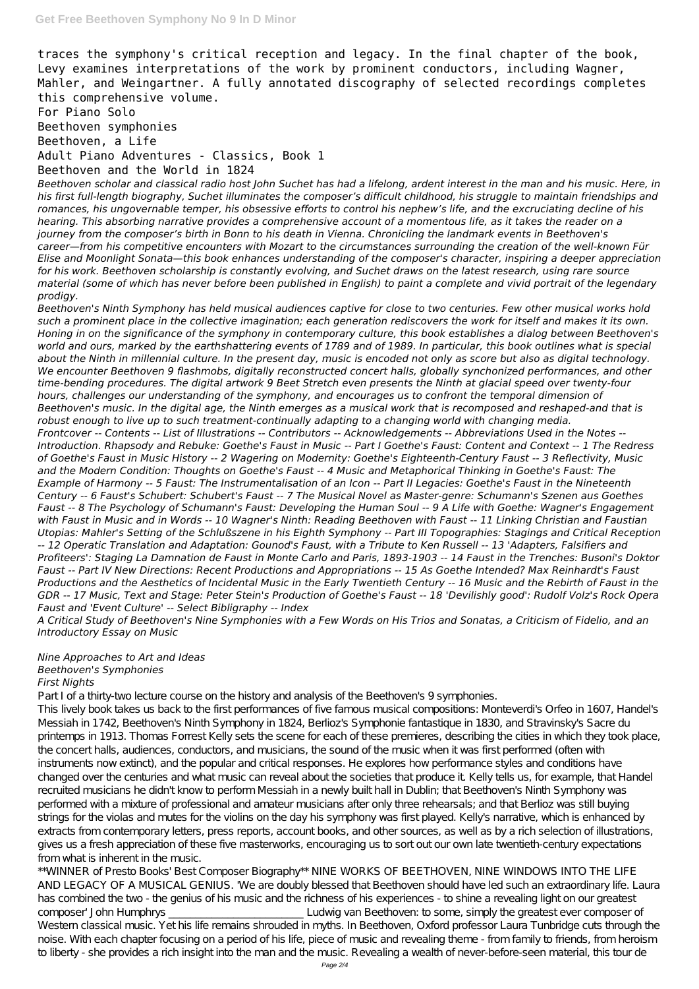traces the symphony's critical reception and legacy. In the final chapter of the book, Levy examines interpretations of the work by prominent conductors, including Wagner, Mahler, and Weingartner. A fully annotated discography of selected recordings completes this comprehensive volume.

For Piano Solo Beethoven symphonies Beethoven, a Life Adult Piano Adventures - Classics, Book 1 Beethoven and the World in 1824

*Beethoven scholar and classical radio host John Suchet has had a lifelong, ardent interest in the man and his music. Here, in his first full-length biography, Suchet illuminates the composer's difficult childhood, his struggle to maintain friendships and romances, his ungovernable temper, his obsessive efforts to control his nephew's life, and the excruciating decline of his hearing. This absorbing narrative provides a comprehensive account of a momentous life, as it takes the reader on a journey from the composer's birth in Bonn to his death in Vienna. Chronicling the landmark events in Beethoven's career—from his competitive encounters with Mozart to the circumstances surrounding the creation of the well-known Für Elise and Moonlight Sonata—this book enhances understanding of the composer's character, inspiring a deeper appreciation for his work. Beethoven scholarship is constantly evolving, and Suchet draws on the latest research, using rare source material (some of which has never before been published in English) to paint a complete and vivid portrait of the legendary prodigy.*

*Beethoven's Ninth Symphony has held musical audiences captive for close to two centuries. Few other musical works hold such a prominent place in the collective imagination; each generation rediscovers the work for itself and makes it its own. Honing in on the significance of the symphony in contemporary culture, this book establishes a dialog between Beethoven's world and ours, marked by the earthshattering events of 1789 and of 1989. In particular, this book outlines what is special about the Ninth in millennial culture. In the present day, music is encoded not only as score but also as digital technology. We encounter Beethoven 9 flashmobs, digitally reconstructed concert halls, globally synchonized performances, and other time-bending procedures. The digital artwork 9 Beet Stretch even presents the Ninth at glacial speed over twenty-four hours, challenges our understanding of the symphony, and encourages us to confront the temporal dimension of Beethoven's music. In the digital age, the Ninth emerges as a musical work that is recomposed and reshaped-and that is robust enough to live up to such treatment-continually adapting to a changing world with changing media. Frontcover -- Contents -- List of Illustrations -- Contributors -- Acknowledgements -- Abbreviations Used in the Notes -- Introduction. Rhapsody and Rebuke: Goethe's Faust in Music -- Part I Goethe's Faust: Content and Context -- 1 The Redress of Goethe's Faust in Music History -- 2 Wagering on Modernity: Goethe's Eighteenth-Century Faust -- 3 Reflectivity, Music and the Modern Condition: Thoughts on Goethe's Faust -- 4 Music and Metaphorical Thinking in Goethe's Faust: The Example of Harmony -- 5 Faust: The Instrumentalisation of an Icon -- Part II Legacies: Goethe's Faust in the Nineteenth Century -- 6 Faust's Schubert: Schubert's Faust -- 7 The Musical Novel as Master-genre: Schumann's Szenen aus Goethes Faust -- 8 The Psychology of Schumann's Faust: Developing the Human Soul -- 9 A Life with Goethe: Wagner's Engagement with Faust in Music and in Words -- 10 Wagner's Ninth: Reading Beethoven with Faust -- 11 Linking Christian and Faustian Utopias: Mahler's Setting of the Schlußszene in his Eighth Symphony -- Part III Topographies: Stagings and Critical Reception -- 12 Operatic Translation and Adaptation: Gounod's Faust, with a Tribute to Ken Russell -- 13 'Adapters, Falsifiers and Profiteers': Staging La Damnation de Faust in Monte Carlo and Paris, 1893-1903 -- 14 Faust in the Trenches: Busoni's Doktor Faust -- Part IV New Directions: Recent Productions and Appropriations -- 15 As Goethe Intended? Max Reinhardt's Faust Productions and the Aesthetics of Incidental Music in the Early Twentieth Century -- 16 Music and the Rebirth of Faust in the GDR -- 17 Music, Text and Stage: Peter Stein's Production of Goethe's Faust -- 18 'Devilishly good': Rudolf Volz's Rock Opera Faust and 'Event Culture' -- Select Bibligraphy -- Index*

*A Critical Study of Beethoven's Nine Symphonies with a Few Words on His Trios and Sonatas, a Criticism of Fidelio, and an Introductory Essay on Music*

## *Nine Approaches to Art and Ideas Beethoven's Symphonies First Nights*

Part I of a thirty-two lecture course on the history and analysis of the Beethoven's 9 symphonies.

This lively book takes us back to the first performances of five famous musical compositions: Monteverdi's Orfeo in 1607, Handel's Messiah in 1742, Beethoven's Ninth Symphony in 1824, Berlioz's Symphonie fantastique in 1830, and Stravinsky's Sacre du printemps in 1913. Thomas Forrest Kelly sets the scene for each of these premieres, describing the cities in which they took place, the concert halls, audiences, conductors, and musicians, the sound of the music when it was first performed (often with instruments now extinct), and the popular and critical responses. He explores how performance styles and conditions have changed over the centuries and what music can reveal about the societies that produce it. Kelly tells us, for example, that Handel recruited musicians he didn't know to perform Messiah in a newly built hall in Dublin; that Beethoven's Ninth Symphony was performed with a mixture of professional and amateur musicians after only three rehearsals; and that Berlioz was still buying strings for the violas and mutes for the violins on the day his symphony was first played. Kelly's narrative, which is enhanced by extracts from contemporary letters, press reports, account books, and other sources, as well as by a rich selection of illustrations, gives us a fresh appreciation of these five masterworks, encouraging us to sort out our own late twentieth-century expectations from what is inherent in the music. \*\*WINNER of Presto Books' Best Composer Biography\*\* NINE WORKS OF BEETHOVEN, NINE WINDOWS INTO THE LIFE AND LEGACY OF A MUSICAL GENIUS. 'We are doubly blessed that Beethoven should have led such an extraordinary life. Laura has combined the two - the genius of his music and the richness of his experiences - to shine a revealing light on our greatest composer' John Humphrys \_\_\_\_\_\_\_\_\_\_\_\_\_\_\_\_\_\_\_\_\_\_\_\_\_ Ludwig van Beethoven: to some, simply the greatest ever composer of Western classical music. Yet his life remains shrouded in myths. In Beethoven, Oxford professor Laura Tunbridge cuts through the noise. With each chapter focusing on a period of his life, piece of music and revealing theme - from family to friends, from heroism to liberty - she provides a rich insight into the man and the music. Revealing a wealth of never-before-seen material, this tour de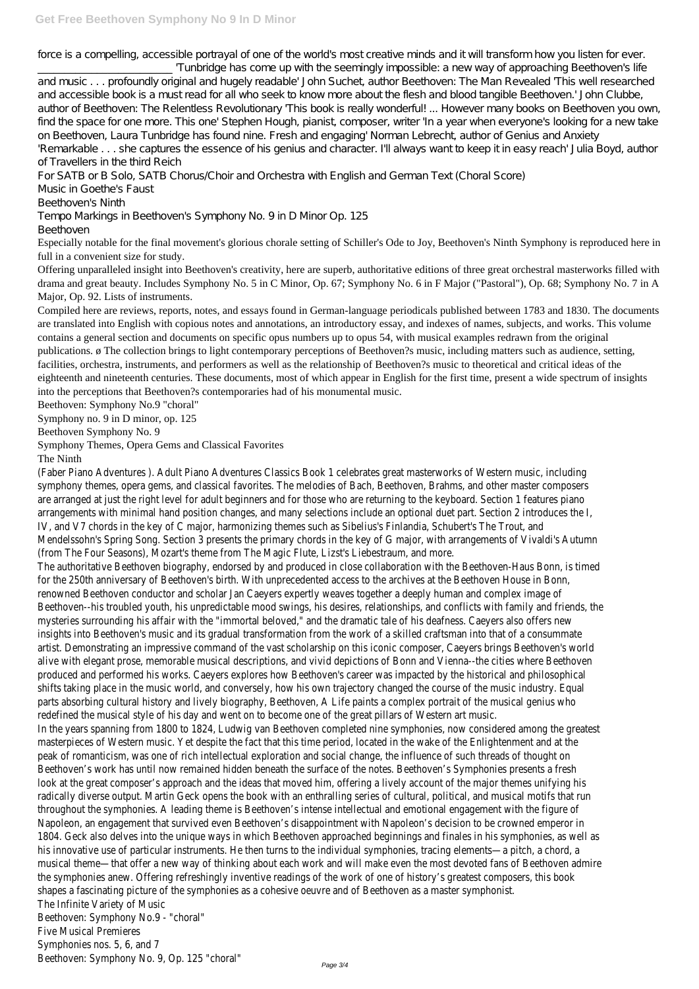force is a compelling, accessible portrayal of one of the world's most creative minds and it will transform how you listen for ever.

\_\_\_\_\_\_\_\_\_\_\_\_\_\_\_\_\_\_\_\_\_\_\_\_\_ 'Tunbridge has come up with the seemingly impossible: a new way of approaching Beethoven's life and music . . . profoundly original and hugely readable' John Suchet, author Beethoven: The Man Revealed 'This well researched and accessible book is a must read for all who seek to know more about the flesh and blood tangible Beethoven.' John Clubbe, author of Beethoven: The Relentless Revolutionary 'This book is really wonderful! ... However many books on Beethoven you own, find the space for one more. This one' Stephen Hough, pianist, composer, writer 'In a year when everyone's looking for a new take on Beethoven, Laura Tunbridge has found nine. Fresh and engaging' Norman Lebrecht, author of Genius and Anxiety 'Remarkable . . . she captures the essence of his genius and character. I'll always want to keep it in easy reach' Julia Boyd, author of Travellers in the third Reich

For SATB or B Solo, SATB Chorus/Choir and Orchestra with English and German Text (Choral Score)

Music in Goethe's Faust

Beethoven's Ninth

Tempo Markings in Beethoven's Symphony No. 9 in D Minor Op. 125

## Beethoven

Especially notable for the final movement's glorious chorale setting of Schiller's Ode to Joy, Beethoven's Ninth Symphony is reproduced here in full in a convenient size for study.

Offering unparalleled insight into Beethoven's creativity, here are superb, authoritative editions of three great orchestral masterworks filled with drama and great beauty. Includes Symphony No. 5 in C Minor, Op. 67; Symphony No. 6 in F Major ("Pastoral"), Op. 68; Symphony No. 7 in A Major, Op. 92. Lists of instruments.

Compiled here are reviews, reports, notes, and essays found in German-language periodicals published between 1783 and 1830. The documents are translated into English with copious notes and annotations, an introductory essay, and indexes of names, subjects, and works. This volume contains a general section and documents on specific opus numbers up to opus 54, with musical examples redrawn from the original publications. ø The collection brings to light contemporary perceptions of Beethoven?s music, including matters such as audience, setting, facilities, orchestra, instruments, and performers as well as the relationship of Beethoven?s music to theoretical and critical ideas of the eighteenth and nineteenth centuries. These documents, most of which appear in English for the first time, present a wide spectrum of insights into the perceptions that Beethoven?s contemporaries had of his monumental music.

Beethoven: Symphony No.9 "choral"

Symphony no. 9 in D minor, op. 125

Beethoven Symphony No. 9

Symphony Themes, Opera Gems and Classical Favorites

The Ninth

(Faber Piano Adventures ). Adult Piano Adventures Classics Book 1 celebrates great masterworks of Western music, including symphony themes, opera gems, and classical favorites. The melodies of Bach, Beethoven, Brahms, and other master composers are arranged at just the right level for adult beginners and for those who are returning to the keyboard. Section 1 features piano arrangements with minimal hand position changes, and many selections include an optional duet part. Section 2 introduces the I, IV, and V7 chords in the key of C major, harmonizing themes such as Sibelius's Finlandia, Schubert's The Trout, and Mendelssohn's Spring Song. Section 3 presents the primary chords in the key of G major, with arrangements of Vivaldi's Autumn (from The Four Seasons), Mozart's theme from The Magic Flute, Lizst's Liebestraum, and more.

The authoritative Beethoven biography, endorsed by and produced in close collaboration with the Beethoven-Haus Bonn, is timed for the 250th anniversary of Beethoven's birth. With unprecedented access to the archives at the Beethoven House in Bonn, renowned Beethoven conductor and scholar Jan Caeyers expertly weaves together a deeply human and complex image of Beethoven--his troubled youth, his unpredictable mood swings, his desires, relationships, and conflicts with family and friends, the mysteries surrounding his affair with the "immortal beloved," and the dramatic tale of his deafness. Caeyers also offers new insights into Beethoven's music and its gradual transformation from the work of a skilled craftsman into that of a consummate artist. Demonstrating an impressive command of the vast scholarship on this iconic composer, Caeyers brings Beethoven's world alive with elegant prose, memorable musical descriptions, and vivid depictions of Bonn and Vienna--the cities where Beethoven produced and performed his works. Caeyers explores how Beethoven's career was impacted by the historical and philosophical shifts taking place in the music world, and conversely, how his own trajectory changed the course of the music industry. Equal parts absorbing cultural history and lively biography, Beethoven, A Life paints a complex portrait of the musical genius who redefined the musical style of his day and went on to become one of the great pillars of Western art music.

In the years spanning from 1800 to 1824, Ludwig van Beethoven completed nine symphonies, now considered among the greatest masterpieces of Western music. Yet despite the fact that this time period, located in the wake of the Enlightenment and at the peak of romanticism, was one of rich intellectual exploration and social change, the influence of such threads of thought on Beethoven's work has until now remained hidden beneath the surface of the notes. Beethoven's Symphonies presents a fresh look at the great composer's approach and the ideas that moved him, offering a lively account of the major themes unifying his radically diverse output. Martin Geck opens the book with an enthralling series of cultural, political, and musical motifs that run throughout the symphonies. A leading theme is Beethoven's intense intellectual and emotional engagement with the figure of Napoleon, an engagement that survived even Beethoven's disappointment with Napoleon's decision to be crowned emperor in 1804. Geck also delves into the unique ways in which Beethoven approached beginnings and finales in his symphonies, as well as his innovative use of particular instruments. He then turns to the individual symphonies, tracing elements—a pitch, a chord, a musical theme—that offer a new way of thinking about each work and will make even the most devoted fans of Beethoven admire the symphonies anew. Offering refreshingly inventive readings of the work of one of history's greatest composers, this book shapes a fascinating picture of the symphonies as a cohesive oeuvre and of Beethoven as a master symphonist. The Infinite Variety of Music Beethoven: Symphony No.9 - "choral" Five Musical Premieres Symphonies nos. 5, 6, and 7 Beethoven: Symphony No. 9, Op. 125 "choral" Page 3/4